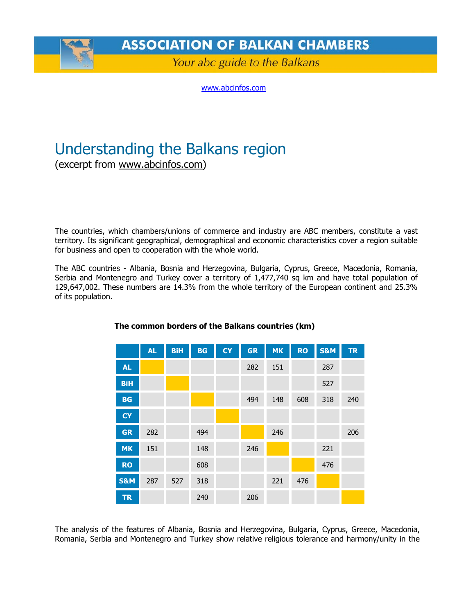

**ASSOCIATION OF BALKAN CHAMBERS** 

Your abc guide to the Balkans

[www.abcinfos.com](http://www.abcinfos.com/)

# Understanding the Balkans region

(excerpt from [www.abcinfos.com](http://www.abcinfos.com/))

The countries, which chambers/unions of commerce and industry are ABC members, constitute a vast territory. Its significant geographical, demographical and economic characteristics cover a region suitable for business and open to cooperation with the whole world.

The ABC countries - Albania, Bosnia and Herzegovina, Bulgaria, Cyprus, Greece, Macedonia, Romania, Serbia and Montenegro and Turkey cover a territory of 1,477,740 sq km and have total population of 129,647,002. These numbers are 14.3% from the whole territory of the European continent and 25.3% of its population.

|                | <b>AL</b> | <b>BiH</b> | <b>BG</b> | <b>CY</b> | <b>GR</b> | <b>MK</b> | <b>RO</b> | <b>S&amp;M</b> | <b>TR</b> |
|----------------|-----------|------------|-----------|-----------|-----------|-----------|-----------|----------------|-----------|
| <b>AL</b>      |           |            |           |           | 282       | 151       |           | 287            |           |
| <b>BiH</b>     |           |            |           |           |           |           |           | 527            |           |
| BG             |           |            |           |           | 494       | 148       | 608       | 318            | 240       |
| <b>CY</b>      |           |            |           |           |           |           |           |                |           |
| <b>GR</b>      | 282       |            | 494       |           |           | 246       |           |                | 206       |
| <b>MK</b>      | 151       |            | 148       |           | 246       |           |           | 221            |           |
| <b>RO</b>      |           |            | 608       |           |           |           |           | 476            |           |
| <b>S&amp;M</b> | 287       | 527        | 318       |           |           | 221       | 476       |                |           |
| <b>TR</b>      |           |            | 240       |           | 206       |           |           |                |           |

#### **The common borders of the Balkans countries (km)**

The analysis of the features of Albania, Bosnia and Herzegovina, Bulgaria, Cyprus, Greece, Macedonia, Romania, Serbia and Montenegro and Turkey show relative religious tolerance and harmony/unity in the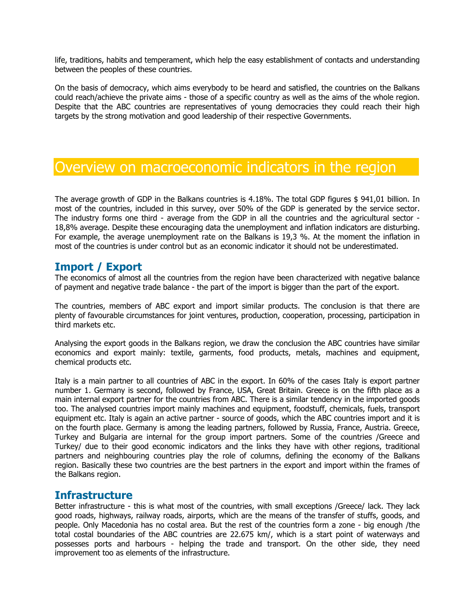life, traditions, habits and temperament, which help the easy establishment of contacts and understanding between the peoples of these countries.

On the basis of democracy, which aims everybody to be heard and satisfied, the countries on the Balkans could reach/achieve the private aims - those of a specific country as well as the aims of the whole region. Despite that the ABC countries are representatives of young democracies they could reach their high targets by the strong motivation and good leadership of their respective Governments.

# Overview on macroeconomic indicators in the region

The average growth of GDP in the Balkans countries is 4.18%. The total GDP figures \$ 941,01 billion. In most of the countries, included in this survey, over 50% of the GDP is generated by the service sector. The industry forms one third - average from the GDP in all the countries and the agricultural sector - 18,8% average. Despite these encouraging data the unemployment and inflation indicators are disturbing. For example, the average unemployment rate on the Balkans is 19,3 %. At the moment the inflation in most of the countries is under control but as an economic indicator it should not be underestimated.

### **Import / Export**

The economics of almost all the countries from the region have been characterized with negative balance of payment and negative trade balance - the part of the import is bigger than the part of the export.

The countries, members of ABC export and import similar products. The conclusion is that there are plenty of favourable circumstances for joint ventures, production, cooperation, processing, participation in third markets etc.

Analysing the export goods in the Balkans region, we draw the conclusion the ABC countries have similar economics and export mainly: textile, garments, food products, metals, machines and equipment, chemical products etc.

Italy is a main partner to all countries of ABC in the export. In 60% of the cases Italy is export partner number 1. Germany is second, followed by France, USA, Great Britain. Greece is on the fifth place as a main internal export partner for the countries from ABC. There is a similar tendency in the imported goods too. The analysed countries import mainly machines and equipment, foodstuff, chemicals, fuels, transport equipment etc. Italy is again an active partner - source of goods, which the ABC countries import and it is on the fourth place. Germany is among the leading partners, followed by Russia, France, Austria. Greece, Turkey and Bulgaria are internal for the group import partners. Some of the countries /Greece and Turkey/ due to their good economic indicators and the links they have with other regions, traditional partners and neighbouring countries play the role of columns, defining the economy of the Balkans region. Basically these two countries are the best partners in the export and import within the frames of the Balkans region.

### **Infrastructure**

Better infrastructure - this is what most of the countries, with small exceptions /Greece/ lack. They lack good roads, highways, railway roads, airports, which are the means of the transfer of stuffs, goods, and people. Only Macedonia has no costal area. But the rest of the countries form a zone - big enough /the total costal boundaries of the ABC countries are 22.675 km/, which is a start point of waterways and possesses ports and harbours - helping the trade and transport. On the other side, they need improvement too as elements of the infrastructure.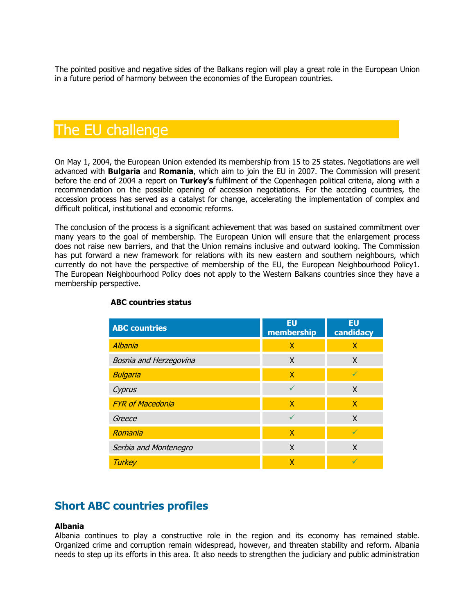The pointed positive and negative sides of the Balkans region will play a great role in the European Union in a future period of harmony between the economies of the European countries.

# The EU challenge

On May 1, 2004, the European Union extended its membership from 15 to 25 states. Negotiations are well advanced with **Bulgaria** and **Romania**, which aim to join the EU in 2007. The Commission will present before the end of 2004 a report on **Turkey's** fulfilment of the Copenhagen political criteria, along with a recommendation on the possible opening of accession negotiations. For the acceding countries, the accession process has served as a catalyst for change, accelerating the implementation of complex and difficult political, institutional and economic reforms.

The conclusion of the process is a significant achievement that was based on sustained commitment over many years to the goal of membership. The European Union will ensure that the enlargement process does not raise new barriers, and that the Union remains inclusive and outward looking. The Commission has put forward a new framework for relations with its new eastern and southern neighbours, which currently do not have the perspective of membership of the EU, the European Neighbourhood Policy1. The European Neighbourhood Policy does not apply to the Western Balkans countries since they have a membership perspective.

| <b>ABC countries</b>    | EU<br>membership | EU<br>candidacy |
|-------------------------|------------------|-----------------|
| Albania                 | X                | X               |
| Bosnia and Herzegovina  | X                | X               |
| <b>Bulgaria</b>         | X                | $\sqrt{}$       |
| Cyprus                  |                  | X               |
| <b>FYR of Macedonia</b> | X                | X               |
| Greece                  |                  | X               |
| Romania                 | X                | $\checkmark$    |
| Serbia and Montenegro   | X                | X               |
| <b>Turkey</b>           | χ                |                 |

#### **ABC countries status**

## **Short ABC countries profiles**

#### **Albania**

Albania continues to play a constructive role in the region and its economy has remained stable. Organized crime and corruption remain widespread, however, and threaten stability and reform. Albania needs to step up its efforts in this area. It also needs to strengthen the judiciary and public administration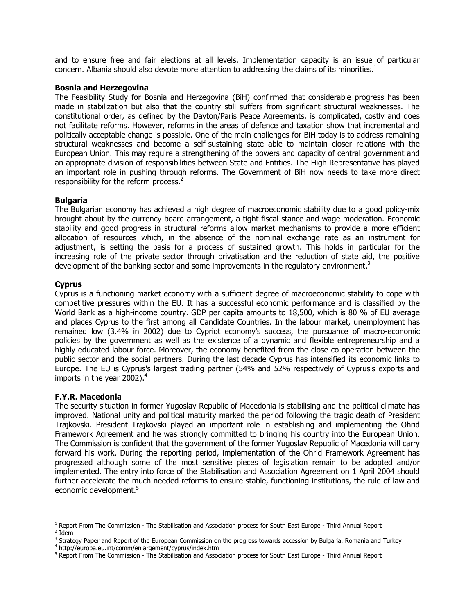and to ensure free and fair elections at all levels. Implementation capacity is an issue of particular concern. Albania should also devote more attention to addressing the claims of its minorities. $1$ 

#### **Bosnia and Herzegovina**

The Feasibility Study for Bosnia and Herzegovina (BiH) confirmed that considerable progress has been made in stabilization but also that the country still suffers from significant structural weaknesses. The constitutional order, as defined by the Dayton/Paris Peace Agreements, is complicated, costly and does not facilitate reforms. However, reforms in the areas of defence and taxation show that incremental and politically acceptable change is possible. One of the main challenges for BiH today is to address remaining structural weaknesses and become a self-sustaining state able to maintain closer relations with the European Union. This may require a strengthening of the powers and capacity of central government and an appropriate division of responsibilities between State and Entities. The High Representative has played an important role in pushing through reforms. The Government of BiH now needs to take more direct responsibility for the reform process.<sup>2</sup>

#### **Bulgaria**

The Bulgarian economy has achieved a high degree of macroeconomic stability due to a good policy-mix brought about by the currency board arrangement, a tight fiscal stance and wage moderation. Economic stability and good progress in structural reforms allow market mechanisms to provide a more efficient allocation of resources which, in the absence of the nominal exchange rate as an instrument for adjustment, is setting the basis for a process of sustained growth. This holds in particular for the increasing role of the private sector through privatisation and the reduction of state aid, the positive development of the banking sector and some improvements in the regulatory environment.<sup>3</sup>

#### **Cyprus**

Cyprus is a functioning market economy with a sufficient degree of macroeconomic stability to cope with competitive pressures within the EU. It has a successful economic performance and is classified by the World Bank as a high-income country. GDP per capita amounts to 18,500, which is 80 % of EU average and places Cyprus to the first among all Candidate Countries. In the labour market, unemployment has remained low (3.4% in 2002) due to Cypriot economy's success, the pursuance of macro-economic policies by the government as well as the existence of a dynamic and flexible entrepreneurship and a highly educated labour force. Moreover, the economy benefited from the close co-operation between the public sector and the social partners. During the last decade Cyprus has intensified its economic links to Europe. The EU is Cyprus's largest trading partner (54% and 52% respectively of Cyprus's exports and imports in the year 2002). $4$ 

#### **F.Y.R. Macedonia**

<u>.</u>

The security situation in former Yugoslav Republic of Macedonia is stabilising and the political climate has improved. National unity and political maturity marked the period following the tragic death of President Trajkovski. President Trajkovski played an important role in establishing and implementing the Ohrid Framework Agreement and he was strongly committed to bringing his country into the European Union. The Commission is confident that the government of the former Yugoslav Republic of Macedonia will carry forward his work. During the reporting period, implementation of the Ohrid Framework Agreement has progressed although some of the most sensitive pieces of legislation remain to be adopted and/or implemented. The entry into force of the Stabilisation and Association Agreement on 1 April 2004 should further accelerate the much needed reforms to ensure stable, functioning institutions, the rule of law and economic development.<sup>[5](#page-3-4)</sup>

<span id="page-3-1"></span><span id="page-3-0"></span><sup>1</sup> Report From The Commission - The Stabilisation and Association process for South East Europe - Third Annual Report 2  $2$  Idem

<span id="page-3-2"></span><sup>&</sup>lt;sup>3</sup> Strategy Paper and Report of the European Commission on the progress towards accession by Bulgaria, Romania and Turkey<br><sup>4</sup> http://ourope.ou.int/comm/onbreament/cunrus/index.htm

<span id="page-3-3"></span>http://europa.eu.int/comm/enlargement/cyprus/index.htm 5

<span id="page-3-4"></span><sup>&</sup>lt;sup>5</sup> Report From The Commission - The Stabilisation and Association process for South East Europe - Third Annual Report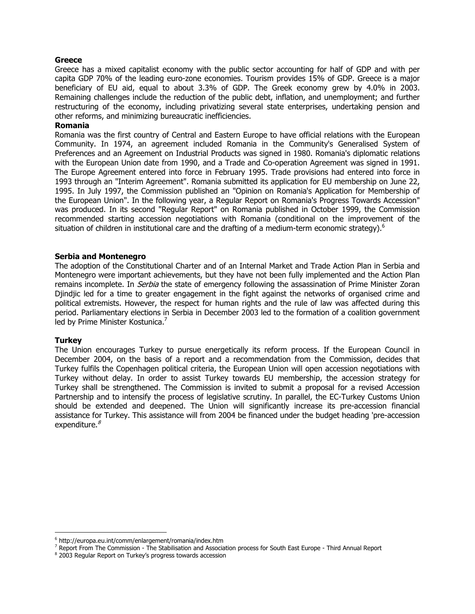#### **Greece**

Greece has a mixed capitalist economy with the public sector accounting for half of GDP and with per capita GDP 70% of the leading euro-zone economies. Tourism provides 15% of GDP. Greece is a major beneficiary of EU aid, equal to about 3.3% of GDP. The Greek economy grew by 4.0% in 2003. Remaining challenges include the reduction of the public debt, inflation, and unemployment; and further restructuring of the economy, including privatizing several state enterprises, undertaking pension and other reforms, and minimizing bureaucratic inefficiencies.

#### **Romania**

Romania was the first country of Central and Eastern Europe to have official relations with the European Community. In 1974, an agreement included Romania in the Community's Generalised System of Preferences and an Agreement on Industrial Products was signed in 1980. Romania's diplomatic relations with the European Union date from 1990, and a Trade and Co-operation Agreement was signed in 1991. The Europe Agreement entered into force in February 1995. Trade provisions had entered into force in 1993 through an "Interim Agreement". Romania submitted its application for EU membership on June 22, 1995. In July 1997, the Commission published an "Opinion on Romania's Application for Membership of the European Union". In the following year, a Regular Report on Romania's Progress Towards Accession" was produced. In its second "Regular Report" on Romania published in October 1999, the Commission recommended starting accession negotiations with Romania (conditional on the improvement of the situation of children in institutional care and the drafting of a medium-term economic strategy).<sup>[6](#page-4-0)</sup>

#### **Serbia and Montenegro**

The adoption of the Constitutional Charter and of an Internal Market and Trade Action Plan in Serbia and Montenegro were important achievements, but they have not been fully implemented and the Action Plan remains incomplete. In *Serbia* the state of emergency following the assassination of Prime Minister Zoran Djindjic led for a time to greater engagement in the fight against the networks of organised crime and political extremists. However, the respect for human rights and the rule of law was affected during this period. Parliamentary elections in Serbia in December 2003 led to the formation of a coalition government led by Prime Minister Kostunica.<sup>7</sup>

#### **Turkey**

1

The Union encourages Turkey to pursue energetically its reform process. If the European Council in December 2004, on the basis of a report and a recommendation from the Commission, decides that Turkey fulfils the Copenhagen political criteria, the European Union will open accession negotiations with Turkey without delay. In order to assist Turkey towards EU membership, the accession strategy for Turkey shall be strengthened. The Commission is invited to submit a proposal for a revised Accession Partnership and to intensify the process of legislative scrutiny. In parallel, the EC-Turkey Customs Union should be extended and deepened. The Union will significantly increase its pre-accession financial assistance for Turkey. This assistance will from 2004 be financed under the budget heading 'pre-accession expenditure. $8$ 

<span id="page-4-0"></span><sup>6</sup> http://europa.eu.int/comm/enlargement/romania/index.htm

<span id="page-4-1"></span><sup>&</sup>lt;sup>7</sup> Report From The Commission - The Stabilisation and Association process for South East Europe - Third Annual Report<br><sup>8</sup> 2003 Requier Report on Turkey's progress towards associan

<span id="page-4-2"></span><sup>&</sup>lt;sup>8</sup> 2003 Regular Report on Turkey's progress towards accession